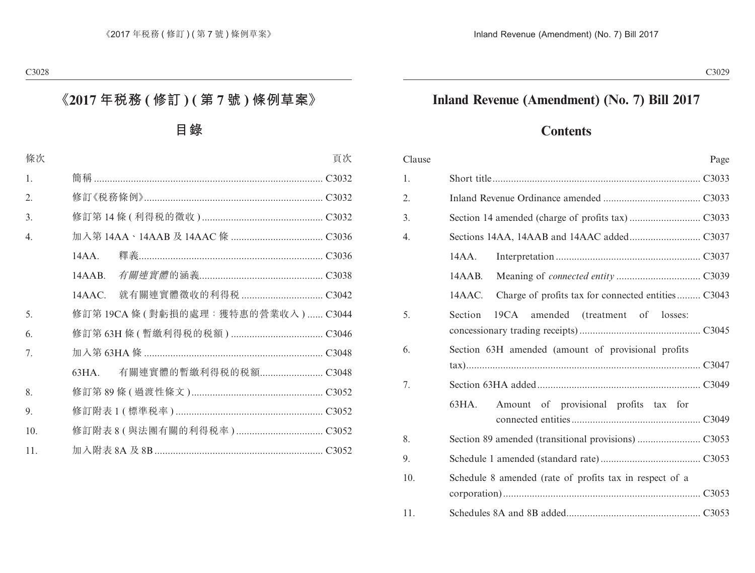## **Inland Revenue (Amendment) (No. 7) Bill 2017**

## **Contents**

| Clause | Page                                                         |  |
|--------|--------------------------------------------------------------|--|
| 1.     |                                                              |  |
| 2.     |                                                              |  |
| 3.     |                                                              |  |
| 4.     |                                                              |  |
|        | 14AA.                                                        |  |
|        | 14AAB.                                                       |  |
|        | Charge of profits tax for connected entities C3043<br>14AAC. |  |
| 5.     | Section<br>19CA amended (treatment of losses:                |  |
| 6.     | Section 63H amended (amount of provisional profits           |  |
|        |                                                              |  |
| 7.     |                                                              |  |
|        | Amount of provisional profits tax for<br>63HA.               |  |
| 8.     |                                                              |  |
| 9.     |                                                              |  |
| 10.    | Schedule 8 amended (rate of profits tax in respect of a      |  |
| 11.    |                                                              |  |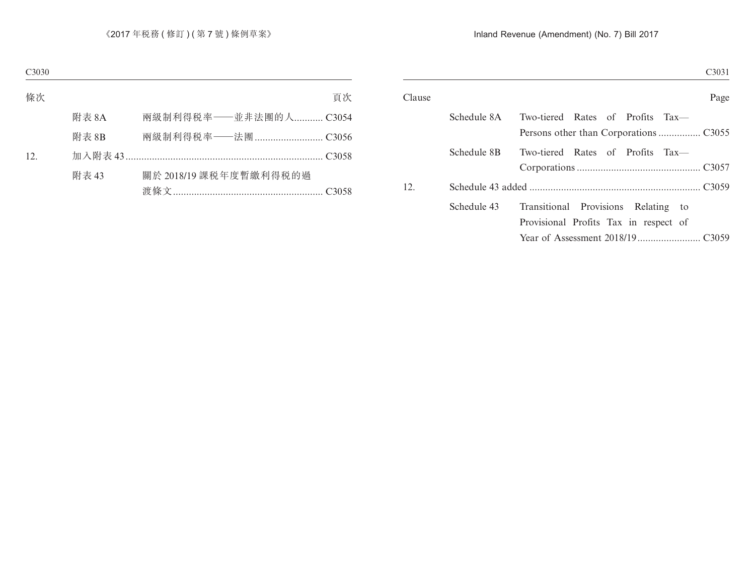| Clause |             | Page                                  |
|--------|-------------|---------------------------------------|
|        | Schedule 8A | Two-tiered Rates of Profits Tax—      |
|        |             |                                       |
|        | Schedule 8B | Two-tiered Rates of Profits Tax—      |
|        |             |                                       |
| 12.    |             |                                       |
|        | Schedule 43 | Transitional Provisions Relating to   |
|        |             | Provisional Profits Tax in respect of |
|        |             |                                       |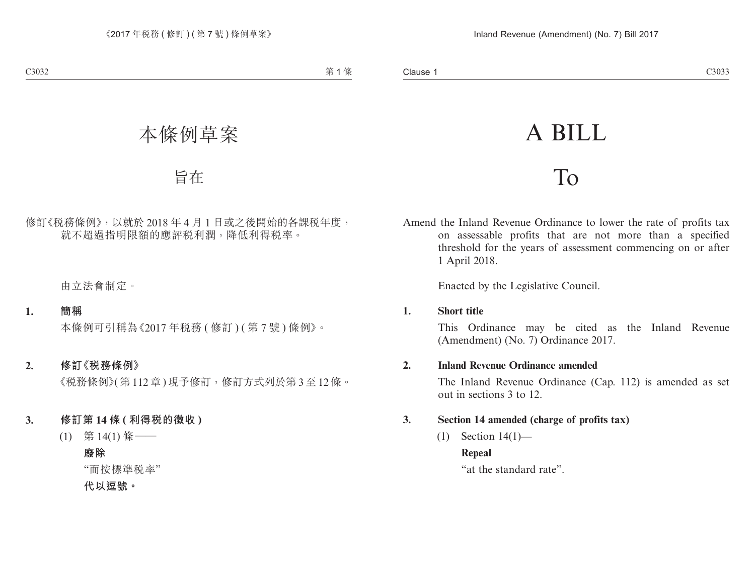# A BILL

# To

Amend the Inland Revenue Ordinance to lower the rate of profits tax on assessable profits that are not more than a specified threshold for the years of assessment commencing on or after 1 April 2018.

Enacted by the Legislative Council.

#### **1. Short title**

This Ordinance may be cited as the Inland Revenue (Amendment) (No. 7) Ordinance 2017.

#### **2. Inland Revenue Ordinance amended**

The Inland Revenue Ordinance (Cap. 112) is amended as set out in sections 3 to 12.

#### **3. Section 14 amended (charge of profits tax)**

 $(1)$  Section  $14(1)$ —

#### **Repeal**

"at the standard rate".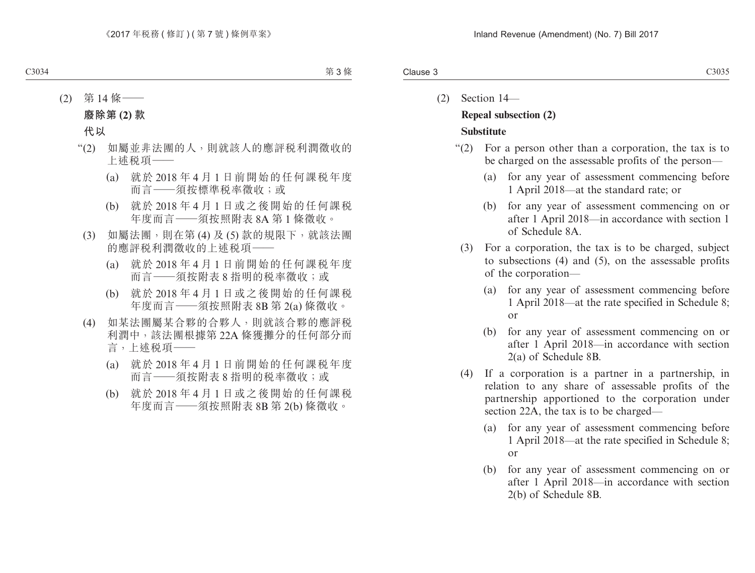- (2) Section 14— **Repeal subsection (2) Substitute**
	- "(2) For a person other than a corporation, the tax is to be charged on the assessable profits of the person—
		- (a) for any year of assessment commencing before 1 April 2018—at the standard rate; or
		- (b) for any year of assessment commencing on or after 1 April 2018—in accordance with section 1 of Schedule 8A.
		- (3) For a corporation, the tax is to be charged, subject to subsections (4) and (5), on the assessable profits of the corporation—
			- (a) for any year of assessment commencing before 1 April 2018—at the rate specified in Schedule 8; or
			- (b) for any year of assessment commencing on or after 1 April 2018—in accordance with section 2(a) of Schedule 8B.
		- (4) If a corporation is a partner in a partnership, in relation to any share of assessable profits of the partnership apportioned to the corporation under section 22A, the tax is to be charged—
			- (a) for any year of assessment commencing before 1 April 2018—at the rate specified in Schedule 8; or
			- (b) for any year of assessment commencing on or after 1 April 2018—in accordance with section 2(b) of Schedule 8B.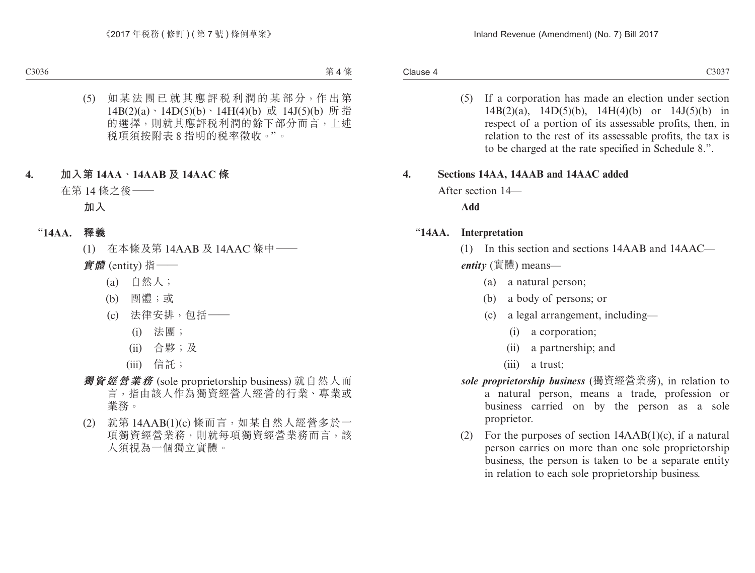(5) If a corporation has made an election under section 14B(2)(a), 14D(5)(b), 14H(4)(b) or 14J(5)(b) in respect of a portion of its assessable profits, then, in relation to the rest of its assessable profits, the tax is to be charged at the rate specified in Schedule 8.".

#### **4. Sections 14AA, 14AAB and 14AAC added**

After section 14—

**Add**

#### "**14AA. Interpretation**

(1) In this section and sections 14AAB and 14AAC *entity* (實體) means—

- (a) a natural person;
- (b) a body of persons; or
- (c) a legal arrangement, including—
	- (i) a corporation;
	- (ii) a partnership; and
	- (iii) a trust;
- *sole proprietorship business* (獨資經營業務), in relation to a natural person, means a trade, profession or business carried on by the person as a sole proprietor.
- (2) For the purposes of section 14AAB(1)(c), if a natural person carries on more than one sole proprietorship business, the person is taken to be a separate entity in relation to each sole proprietorship business.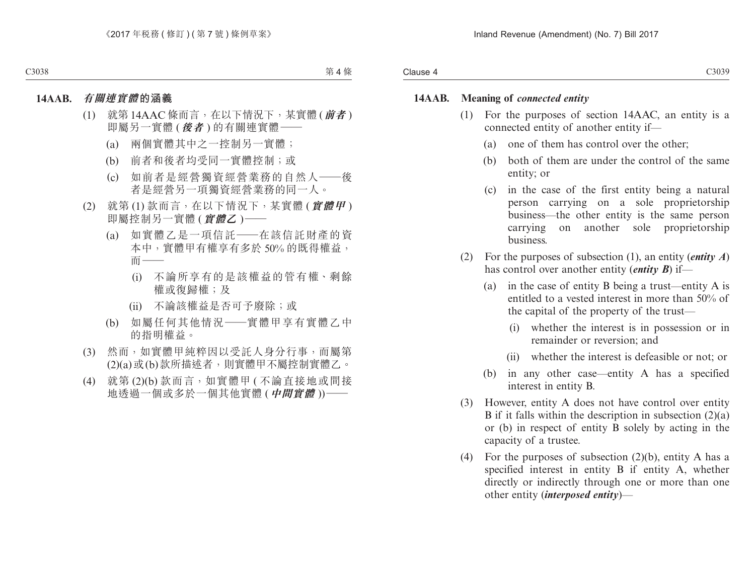#### **14AAB. Meaning of** *connected entity*

- (1) For the purposes of section 14AAC, an entity is a connected entity of another entity if—
	- (a) one of them has control over the other;
	- (b) both of them are under the control of the same entity; or
	- (c) in the case of the first entity being a natural person carrying on a sole proprietorship business—the other entity is the same person carrying on another sole proprietorship business.
- (2) For the purposes of subsection (1), an entity (*entity A*) has control over another entity (*entity B*) if—
	- (a) in the case of entity B being a trust—entity A is entitled to a vested interest in more than 50% of the capital of the property of the trust—
		- (i) whether the interest is in possession or in remainder or reversion; and
		- (ii) whether the interest is defeasible or not; or
	- (b) in any other case—entity A has a specified interest in entity B.
- (3) However, entity A does not have control over entity B if it falls within the description in subsection  $(2)(a)$ or (b) in respect of entity B solely by acting in the capacity of a trustee.
- (4) For the purposes of subsection  $(2)(b)$ , entity A has a specified interest in entity B if entity A, whether directly or indirectly through one or more than one other entity (*interposed entity*)—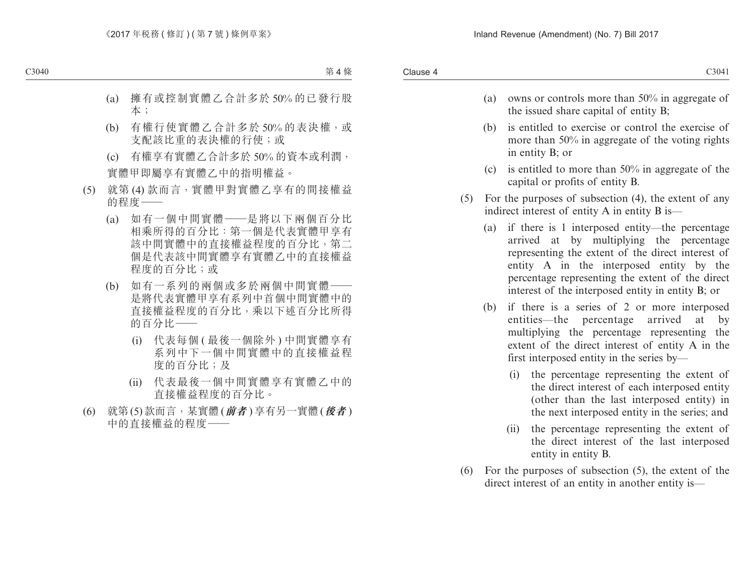- (a) owns or controls more than 50% in aggregate of the issued share capital of entity B;
- (b) is entitled to exercise or control the exercise of more than 50% in aggregate of the voting rights in entity B; or
- (c) is entitled to more than  $50\%$  in aggregate of the capital or profits of entity B.
- (5) For the purposes of subsection (4), the extent of any indirect interest of entity A in entity B is—
	- (a) if there is 1 interposed entity—the percentage arrived at by multiplying the percentage representing the extent of the direct interest of entity A in the interposed entity by the percentage representing the extent of the direct interest of the interposed entity in entity B; or
	- (b) if there is a series of 2 or more interposed entities—the percentage arrived at by multiplying the percentage representing the extent of the direct interest of entity A in the first interposed entity in the series by—
		- (i) the percentage representing the extent of the direct interest of each interposed entity (other than the last interposed entity) in the next interposed entity in the series; and
		- (ii) the percentage representing the extent of the direct interest of the last interposed entity in entity B.
- (6) For the purposes of subsection (5), the extent of the direct interest of an entity in another entity is—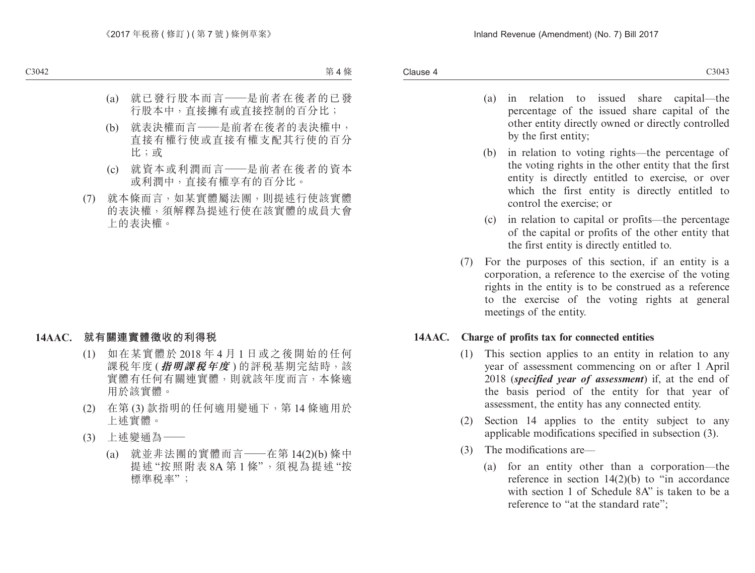- (a) in relation to issued share capital—the percentage of the issued share capital of the other entity directly owned or directly controlled by the first entity;
- (b) in relation to voting rights—the percentage of the voting rights in the other entity that the first entity is directly entitled to exercise, or over which the first entity is directly entitled to control the exercise; or
- (c) in relation to capital or profits—the percentage of the capital or profits of the other entity that the first entity is directly entitled to.
- (7) For the purposes of this section, if an entity is a corporation, a reference to the exercise of the voting rights in the entity is to be construed as a reference to the exercise of the voting rights at general meetings of the entity.

#### **14AAC. Charge of profits tax for connected entities**

- (1) This section applies to an entity in relation to any year of assessment commencing on or after 1 April 2018 (*specified year of assessment*) if, at the end of the basis period of the entity for that year of assessment, the entity has any connected entity.
- (2) Section 14 applies to the entity subject to any applicable modifications specified in subsection (3).
- (3) The modifications are—
	- (a) for an entity other than a corporation—the reference in section  $14(2)(b)$  to "in accordance" with section 1 of Schedule 8A" is taken to be a reference to "at the standard rate";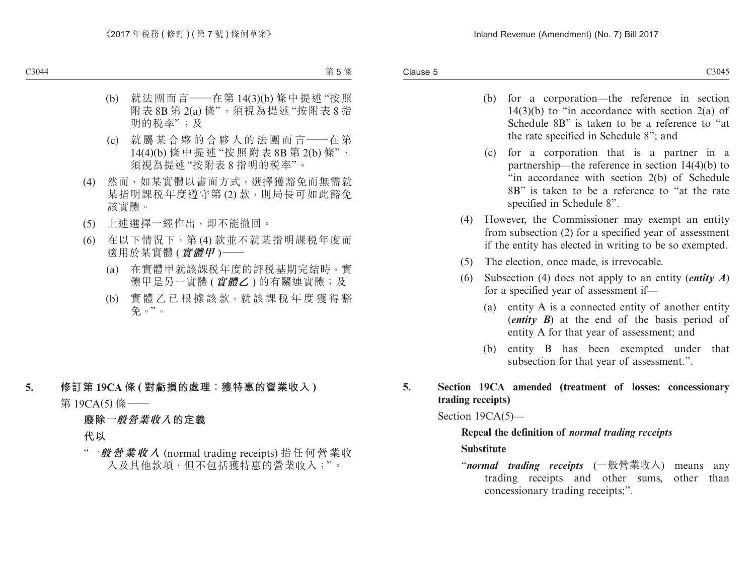Clause 5  $\blacksquare$ Clause 5  $\blacksquare$ 

- (b) for a corporation—the reference in section  $14(3)(b)$  to "in accordance with section  $2(a)$  of Schedule 8B" is taken to be a reference to "at the rate specified in Schedule 8"; and
- (c) for a corporation that is a partner in a partnership—the reference in section 14(4)(b) to "in accordance with section 2(b) of Schedule 8B" is taken to be a reference to "at the rate specified in Schedule 8".
- (4) However, the Commissioner may exempt an entity from subsection (2) for a specified year of assessment if the entity has elected in writing to be so exempted.
- (5) The election, once made, is irrevocable.
- (6) Subsection (4) does not apply to an entity (*entity A*) for a specified year of assessment if—
	- (a) entity A is a connected entity of another entity (*entity B*) at the end of the basis period of entity A for that year of assessment; and
	- (b) entity B has been exempted under that subsection for that year of assessment.".

**5. Section 19CA amended (treatment of losses: concessionary trading receipts)**

Section 19CA(5)—

#### **Repeal the definition of** *normal trading receipts*

#### **Substitute**

"*normal trading receipts* (一般營業收入) means any trading receipts and other sums, other than concessionary trading receipts;".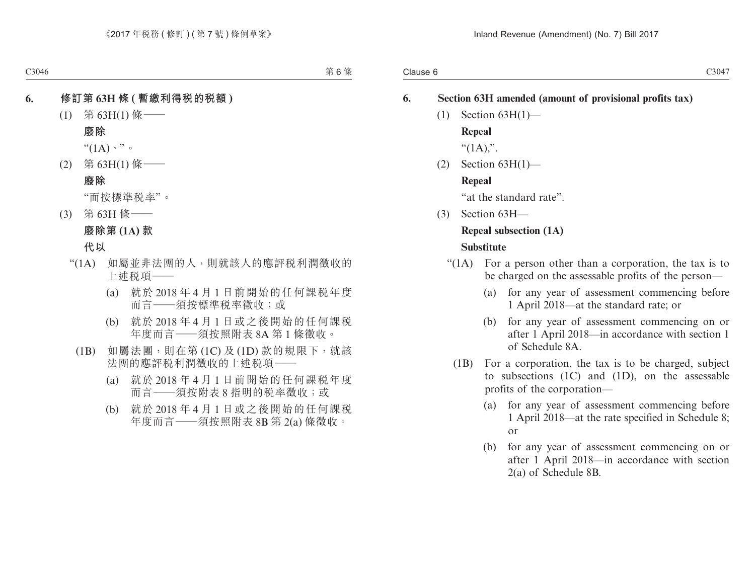#### **6. Section 63H amended (amount of provisional profits tax)**

 $(1)$  Section 63H $(1)$ — **Repeal**

" $(1A)$ .".

(2) Section 63H(1)— **Repeal**

"at the standard rate".

(3) Section 63H—

## **Repeal subsection (1A)**

#### **Substitute**

- "(1A) For a person other than a corporation, the tax is to be charged on the assessable profits of the person—
	- (a) for any year of assessment commencing before 1 April 2018—at the standard rate; or
	- (b) for any year of assessment commencing on or after 1 April 2018—in accordance with section 1 of Schedule 8A.
	- (1B) For a corporation, the tax is to be charged, subject to subsections (1C) and (1D), on the assessable profits of the corporation—
		- (a) for any year of assessment commencing before 1 April 2018—at the rate specified in Schedule 8; or
		- (b) for any year of assessment commencing on or after 1 April 2018—in accordance with section 2(a) of Schedule 8B.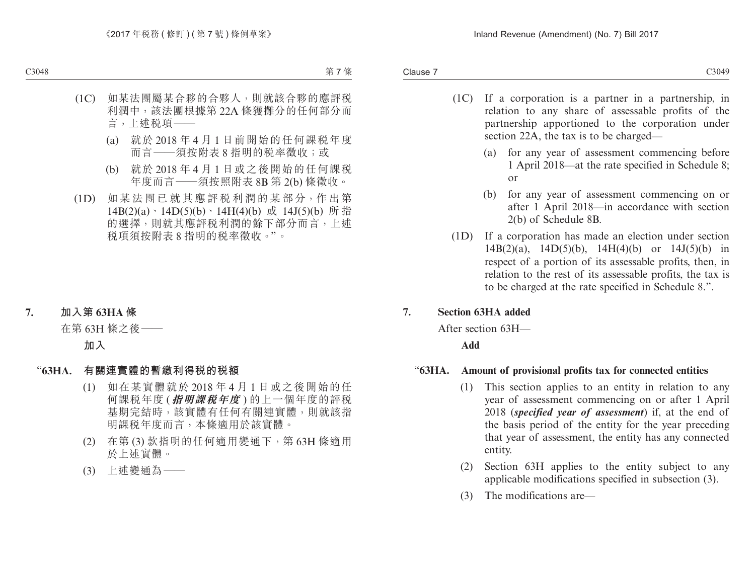- (1C) If a corporation is a partner in a partnership, in relation to any share of assessable profits of the partnership apportioned to the corporation under section 22A, the tax is to be charged—
	- (a) for any year of assessment commencing before 1 April 2018—at the rate specified in Schedule 8; or
	- (b) for any year of assessment commencing on or after 1 April 2018—in accordance with section 2(b) of Schedule 8B.
- (1D) If a corporation has made an election under section 14B(2)(a), 14D(5)(b), 14H(4)(b) or 14J(5)(b) in respect of a portion of its assessable profits, then, in relation to the rest of its assessable profits, the tax is to be charged at the rate specified in Schedule 8.".

#### **7. Section 63HA added**

After section 63H—

#### **Add**

#### "**63HA. Amount of provisional profits tax for connected entities**

- (1) This section applies to an entity in relation to any year of assessment commencing on or after 1 April 2018 (*specified year of assessment*) if, at the end of the basis period of the entity for the year preceding that year of assessment, the entity has any connected entity.
- (2) Section 63H applies to the entity subject to any applicable modifications specified in subsection (3).
- (3) The modifications are—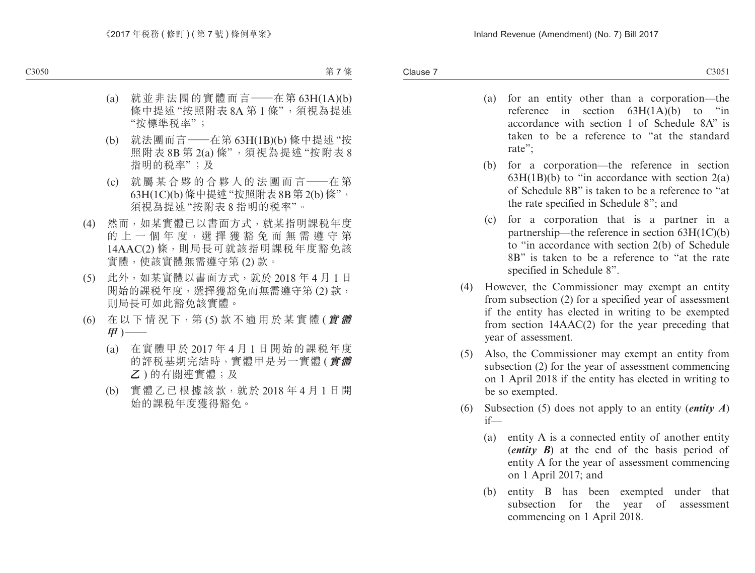- (a) for an entity other than a corporation—the reference in section  $63H(1A)(b)$  to "in accordance with section 1 of Schedule 8A" is taken to be a reference to "at the standard rate";
- (b) for a corporation—the reference in section  $63H(1B)(b)$  to "in accordance with section  $2(a)$ of Schedule 8B" is taken to be a reference to "at the rate specified in Schedule 8"; and
- (c) for a corporation that is a partner in a partnership—the reference in section 63H(1C)(b) to "in accordance with section 2(b) of Schedule 8B" is taken to be a reference to "at the rate specified in Schedule 8".
- (4) However, the Commissioner may exempt an entity from subsection (2) for a specified year of assessment if the entity has elected in writing to be exempted from section 14AAC(2) for the year preceding that year of assessment.
- (5) Also, the Commissioner may exempt an entity from subsection (2) for the year of assessment commencing on 1 April 2018 if the entity has elected in writing to be so exempted.
- (6) Subsection (5) does not apply to an entity (*entity A*) if—
	- (a) entity A is a connected entity of another entity (*entity B*) at the end of the basis period of entity A for the year of assessment commencing on 1 April 2017; and
	- (b) entity B has been exempted under that subsection for the year of assessment commencing on 1 April 2018.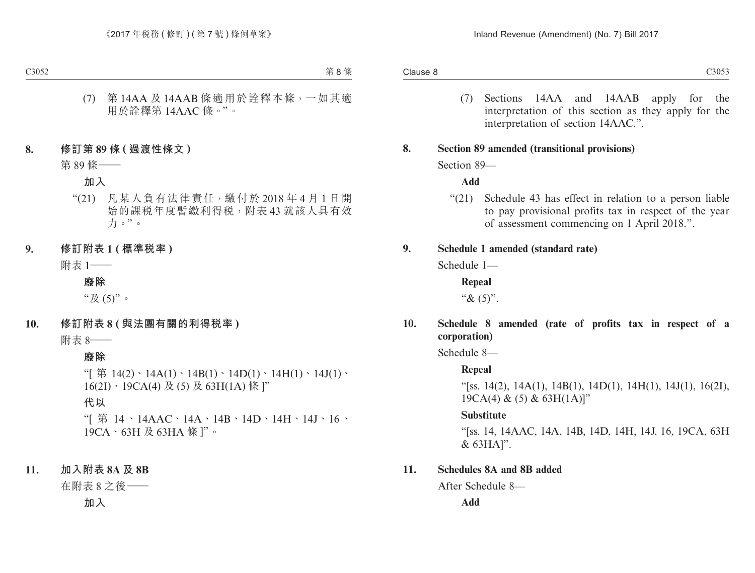(7) Sections 14AA and 14AAB apply for the interpretation of this section as they apply for the interpretation of section 14AAC.".

#### **8. Section 89 amended (transitional provisions)**

Section 89—

#### **Add**

"(21) Schedule 43 has effect in relation to a person liable to pay provisional profits tax in respect of the year of assessment commencing on 1 April 2018.".

#### **9. Schedule 1 amended (standard rate)**

Schedule 1—

**Repeal**

" $& (5)$ ".

#### **10. Schedule 8 amended (rate of profits tax in respect of a corporation)**

Schedule 8—

#### **Repeal**

"[ss. 14(2), 14A(1), 14B(1), 14D(1), 14H(1), 14J(1), 16(2I),  $19CA(4) & (5) & 63H(1A)$ "

#### **Substitute**

"[ss. 14, 14AAC, 14A, 14B, 14D, 14H, 14J, 16, 19CA, 63H & 63HA]".

#### **11. Schedules 8A and 8B added**

After Schedule 8—

**Add**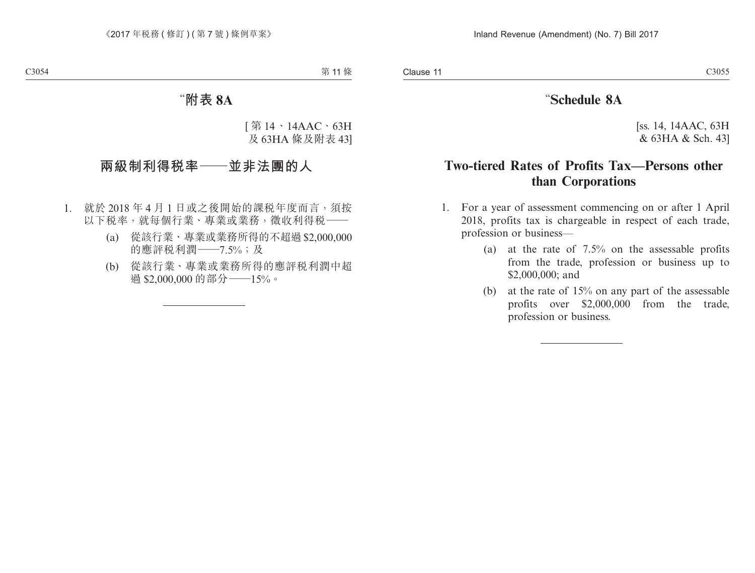## "**Schedule 8A**

[ss. 14, 14AAC, 63H & 63HA & Sch. 43]

## **Two-tiered Rates of Profits Tax—Persons other than Corporations**

- 1. For a year of assessment commencing on or after 1 April 2018, profits tax is chargeable in respect of each trade, profession or business—
	- (a) at the rate of 7.5% on the assessable profits from the trade, profession or business up to \$2,000,000; and
	- (b) at the rate of 15% on any part of the assessable profits over \$2,000,000 from the trade, profession or business.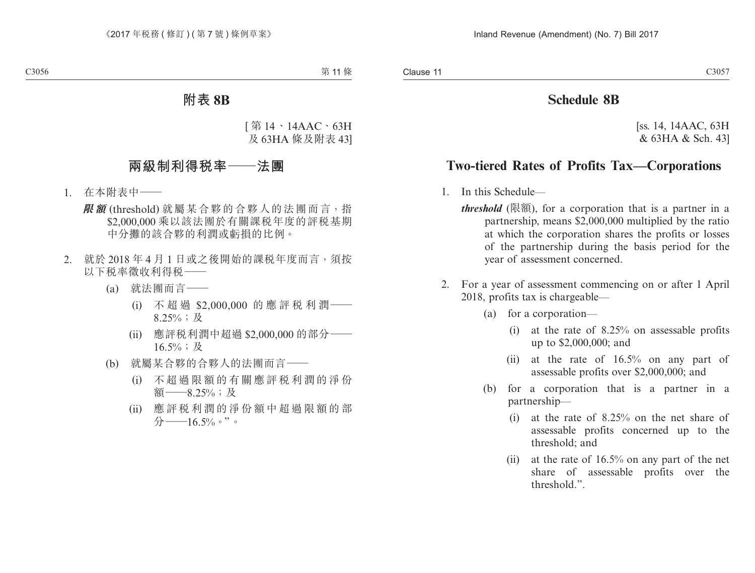## **Schedule 8B**

[ss. 14, 14AAC, 63H & 63HA & Sch. 43]

## **Two-tiered Rates of Profits Tax—Corporations**

- 1. In this Schedule
	- *threshold* (限額), for a corporation that is a partner in a partnership, means \$2,000,000 multiplied by the ratio at which the corporation shares the profits or losses of the partnership during the basis period for the year of assessment concerned.
- 2. For a year of assessment commencing on or after 1 April 2018, profits tax is chargeable—
	- (a) for a corporation—
		- (i) at the rate of 8.25% on assessable profits up to \$2,000,000; and
		- (ii) at the rate of 16.5% on any part of assessable profits over \$2,000,000; and
	- (b) for a corporation that is a partner in a partnership—
		- (i) at the rate of 8.25% on the net share of assessable profits concerned up to the threshold; and
		- (ii) at the rate of 16.5% on any part of the net share of assessable profits over the threshold.".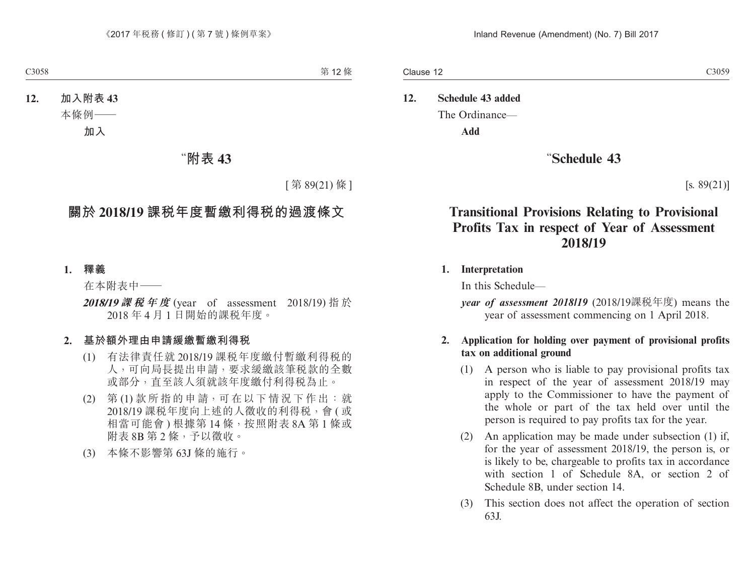## **12. Schedule 43 added** The Ordinance—

**Add**

### "**Schedule 43**

 $[s. 89(21)]$ 

## **Transitional Provisions Relating to Provisional Profits Tax in respect of Year of Assessment 2018/19**

#### **1. Interpretation**

In this Schedule—

*year of assessment 2018/19* (2018/19課稅年度) means the year of assessment commencing on 1 April 2018.

#### **2. Application for holding over payment of provisional profits tax on additional ground**

- (1) A person who is liable to pay provisional profits tax in respect of the year of assessment 2018/19 may apply to the Commissioner to have the payment of the whole or part of the tax held over until the person is required to pay profits tax for the year.
- (2) An application may be made under subsection (1) if, for the year of assessment 2018/19, the person is, or is likely to be, chargeable to profits tax in accordance with section 1 of Schedule 8A, or section 2 of Schedule 8B, under section 14.
- (3) This section does not affect the operation of section 63J.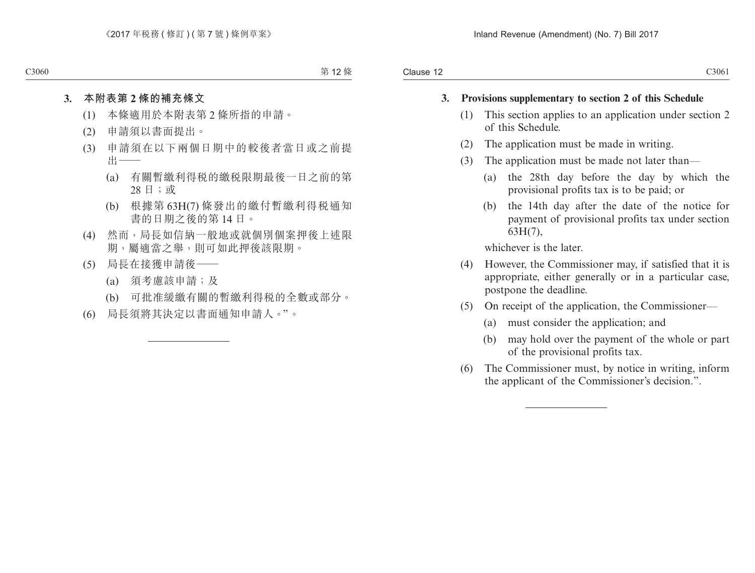#### **3. Provisions supplementary to section 2 of this Schedule**

- (1) This section applies to an application under section 2 of this Schedule.
- (2) The application must be made in writing.
- (3) The application must be made not later than—
	- (a) the 28th day before the day by which the provisional profits tax is to be paid; or
	- (b) the 14th day after the date of the notice for payment of provisional profits tax under section 63H(7),

whichever is the later.

- (4) However, the Commissioner may, if satisfied that it is appropriate, either generally or in a particular case, postpone the deadline.
- (5) On receipt of the application, the Commissioner—
	- (a) must consider the application; and
	- (b) may hold over the payment of the whole or part of the provisional profits tax.
- (6) The Commissioner must, by notice in writing, inform the applicant of the Commissioner's decision.".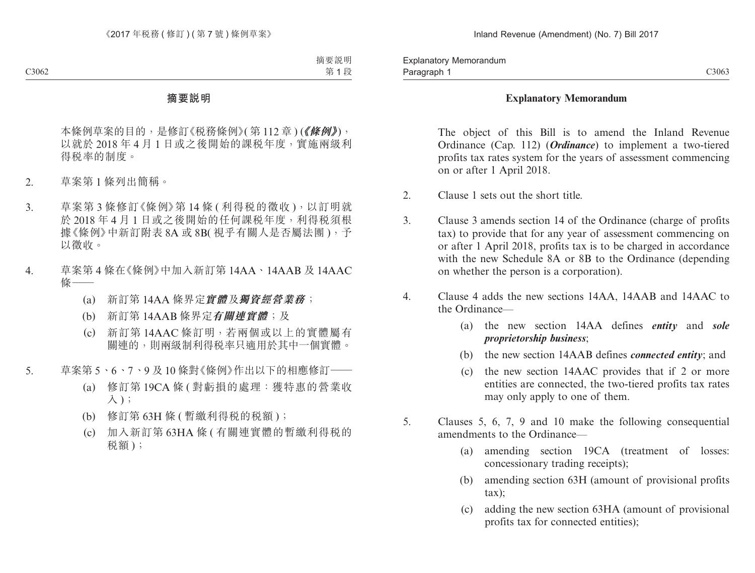#### **Explanatory Memorandum**

The object of this Bill is to amend the Inland Revenue Ordinance (Cap. 112) (*Ordinance*) to implement a two-tiered profits tax rates system for the years of assessment commencing on or after 1 April 2018.

- 2. Clause 1 sets out the short title.
- 3. Clause 3 amends section 14 of the Ordinance (charge of profits tax) to provide that for any year of assessment commencing on or after 1 April 2018, profits tax is to be charged in accordance with the new Schedule 8A or 8B to the Ordinance (depending on whether the person is a corporation).
- 4. Clause 4 adds the new sections 14AA, 14AAB and 14AAC to the Ordinance—
	- (a) the new section 14AA defines *entity* and *sole proprietorship business*;
	- (b) the new section 14AAB defines *connected entity*; and
	- (c) the new section 14AAC provides that if 2 or more entities are connected, the two-tiered profits tax rates may only apply to one of them.
- 5. Clauses 5, 6, 7, 9 and 10 make the following consequential amendments to the Ordinance—
	- (a) amending section 19CA (treatment of losses: concessionary trading receipts);
	- (b) amending section 63H (amount of provisional profits tax);
	- (c) adding the new section 63HA (amount of provisional profits tax for connected entities);